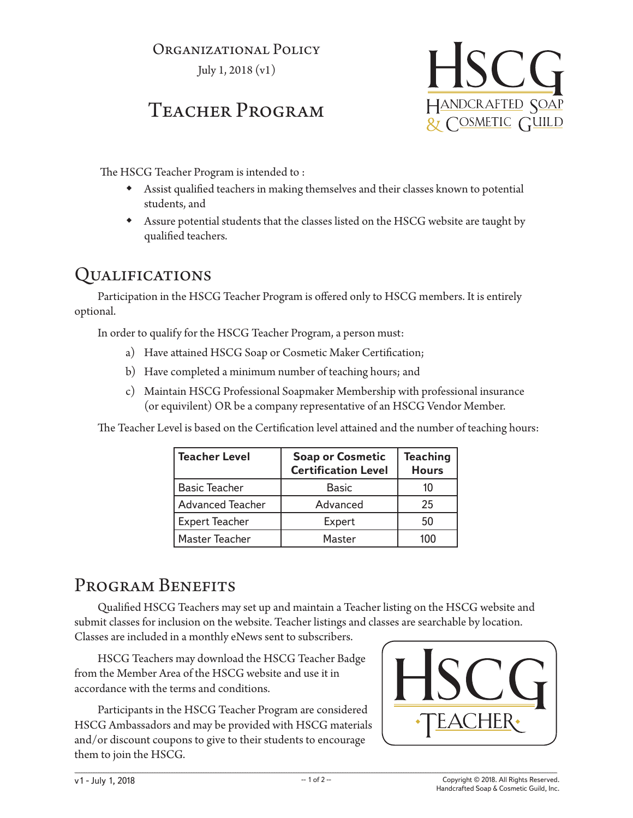#### ORGANIZATIONAL POLICY

July 1, 2018 (v1)

# Teacher Program



The HSCG Teacher Program is intended to :

- Assist qualified teachers in making themselves and their classes known to potential students, and
- Assure potential students that the classes listed on the HSCG website are taught by qualified teachers.

#### Qualifications

Participation in the HSCG Teacher Program is offered only to HSCG members. It is entirely optional.

In order to qualify for the HSCG Teacher Program, a person must:

- a) Have attained HSCG Soap or Cosmetic Maker Certification;
- b) Have completed a minimum number of teaching hours; and
- c) Maintain HSCG Professional Soapmaker Membership with professional insurance (or equivilent) OR be a company representative of an HSCG Vendor Member.

The Teacher Level is based on the Certification level attained and the number of teaching hours:

| <b>Teacher Level</b>    | <b>Soap or Cosmetic</b><br><b>Certification Level</b> | <b>Teaching</b><br><b>Hours</b> |
|-------------------------|-------------------------------------------------------|---------------------------------|
| <b>Basic Teacher</b>    | <b>Basic</b>                                          | 10                              |
| <b>Advanced Teacher</b> | Advanced                                              | 25                              |
| <b>Expert Teacher</b>   | Expert                                                | 50                              |
| <b>Master Teacher</b>   | Master                                                | 100                             |

## PROGRAM BENEFITS

Qualified HSCG Teachers may set up and maintain a Teacher listing on the HSCG website and submit classes for inclusion on the website. Teacher listings and classes are searchable by location. Classes are included in a monthly eNews sent to subscribers.

HSCG Teachers may download the HSCG Teacher Badge from the Member Area of the HSCG website and use it in accordance with the terms and conditions.

Participants in the HSCG Teacher Program are considered HSCG Ambassadors and may be provided with HSCG materials and/or discount coupons to give to their students to encourage them to join the HSCG.